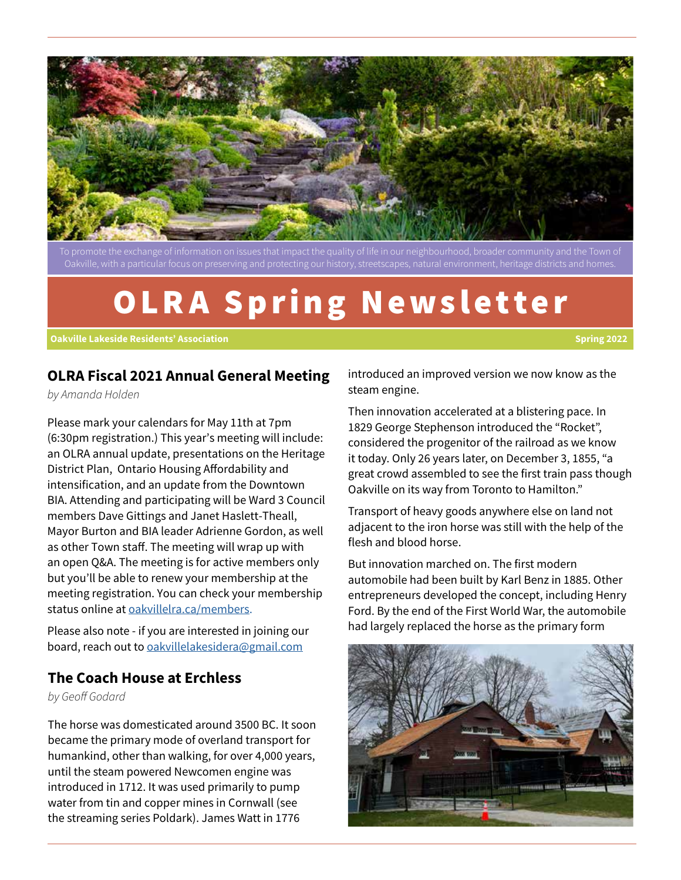

Oakville, with a particular focus on preserving and protecting our history, streetscapes, natural environment, heritage districts and homes.

# OLRA Spring Newsletter

#### **Oakville Lakeside Residents' Association Spring 2022**

#### **OLRA Fiscal 2021 Annual General Meeting**

*by Amanda Holden*

Please mark your calendars for May 11th at 7pm (6:30pm registration.) This year's meeting will include: an OLRA annual update, presentations on the Heritage District Plan, Ontario Housing Affordability and intensification, and an update from the Downtown BIA. Attending and participating will be Ward 3 Council members Dave Gittings and Janet Haslett-Theall, Mayor Burton and BIA leader Adrienne Gordon, as well as other Town staff. The meeting will wrap up with an open Q&A. The meeting is for active members only but you'll be able to renew your membership at the meeting registration. You can check your membership status online at oakvillelra.ca/members.

Please also note - if you are interested in joining our board, reach out to oakvillelakesidera@gmail.com

#### **The Coach House at Erchless**

*by Geoff Godard*

The horse was domesticated around 3500 BC. It soon became the primary mode of overland transport for humankind, other than walking, for over 4,000 years, until the steam powered Newcomen engine was introduced in 1712. It was used primarily to pump water from tin and copper mines in Cornwall (see the streaming series Poldark). James Watt in 1776

introduced an improved version we now know as the steam engine.

Then innovation accelerated at a blistering pace. In 1829 George Stephenson introduced the "Rocket", considered the progenitor of the railroad as we know it today. Only 26 years later, on December 3, 1855, "a great crowd assembled to see the first train pass though Oakville on its way from Toronto to Hamilton."

Transport of heavy goods anywhere else on land not adjacent to the iron horse was still with the help of the flesh and blood horse.

But innovation marched on. The first modern automobile had been built by Karl Benz in 1885. Other entrepreneurs developed the concept, including Henry Ford. By the end of the First World War, the automobile had largely replaced the horse as the primary form

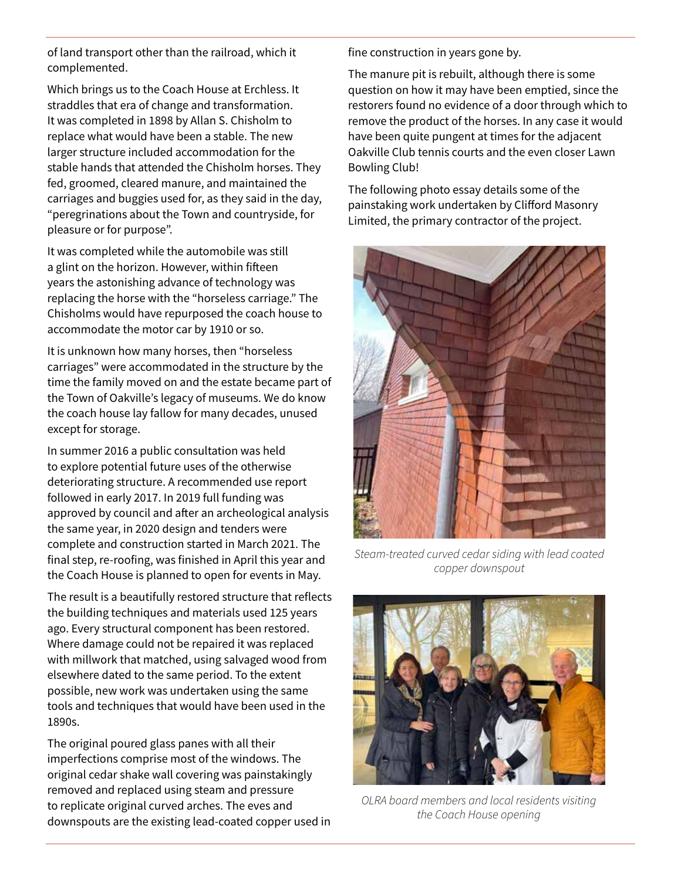of land transport other than the railroad, which it complemented.

Which brings us to the Coach House at Erchless. It straddles that era of change and transformation. It was completed in 1898 by Allan S. Chisholm to replace what would have been a stable. The new larger structure included accommodation for the stable hands that attended the Chisholm horses. They fed, groomed, cleared manure, and maintained the carriages and buggies used for, as they said in the day, "peregrinations about the Town and countryside, for pleasure or for purpose".

It was completed while the automobile was still a glint on the horizon. However, within fifteen years the astonishing advance of technology was replacing the horse with the "horseless carriage." The Chisholms would have repurposed the coach house to accommodate the motor car by 1910 or so.

It is unknown how many horses, then "horseless carriages" were accommodated in the structure by the time the family moved on and the estate became part of the Town of Oakville's legacy of museums. We do know the coach house lay fallow for many decades, unused except for storage.

In summer 2016 a public consultation was held to explore potential future uses of the otherwise deteriorating structure. A recommended use report followed in early 2017. In 2019 full funding was approved by council and after an archeological analysis the same year, in 2020 design and tenders were complete and construction started in March 2021. The final step, re-roofing, was finished in April this year and the Coach House is planned to open for events in May.

The result is a beautifully restored structure that reflects the building techniques and materials used 125 years ago. Every structural component has been restored. Where damage could not be repaired it was replaced with millwork that matched, using salvaged wood from elsewhere dated to the same period. To the extent possible, new work was undertaken using the same tools and techniques that would have been used in the 1890s.

The original poured glass panes with all their imperfections comprise most of the windows. The original cedar shake wall covering was painstakingly removed and replaced using steam and pressure to replicate original curved arches. The eves and downspouts are the existing lead-coated copper used in fine construction in years gone by.

The manure pit is rebuilt, although there is some question on how it may have been emptied, since the restorers found no evidence of a door through which to remove the product of the horses. In any case it would have been quite pungent at times for the adjacent Oakville Club tennis courts and the even closer Lawn Bowling Club!

The following photo essay details some of the painstaking work undertaken by Clifford Masonry Limited, the primary contractor of the project.



*Steam-treated curved cedar siding with lead coated copper downspout* 



*OLRA board members and local residents visiting the Coach House opening*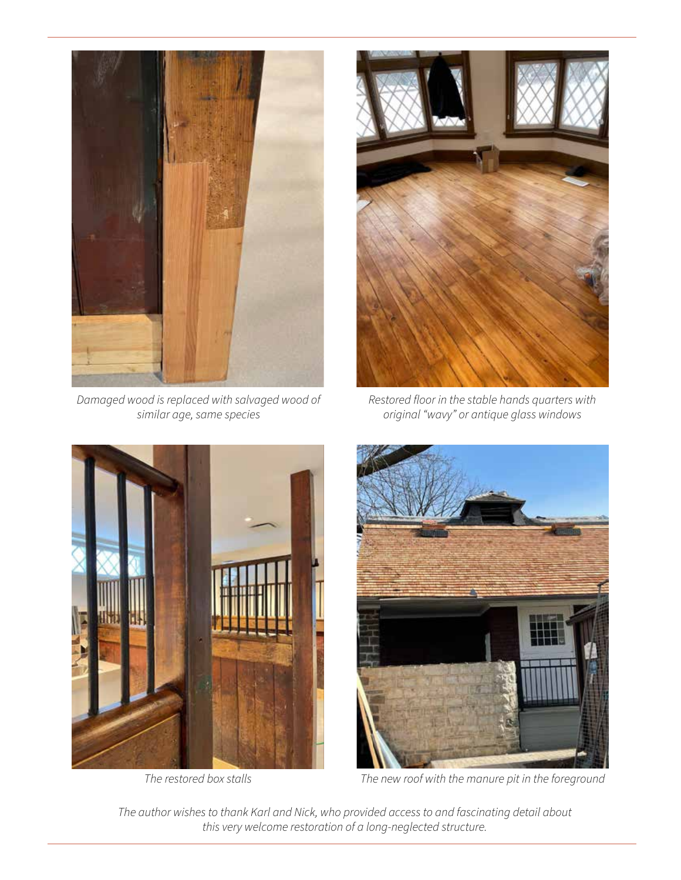

*Damaged wood is replaced with salvaged wood of similar age, same species* 



*Restored floor in the stable hands quarters with original "wavy" or antique glass windows*



*The restored box stalls* 



*The new roof with the manure pit in the foreground*

*The author wishes to thank Karl and Nick, who provided access to and fascinating detail about this very welcome restoration of a long-neglected structure.*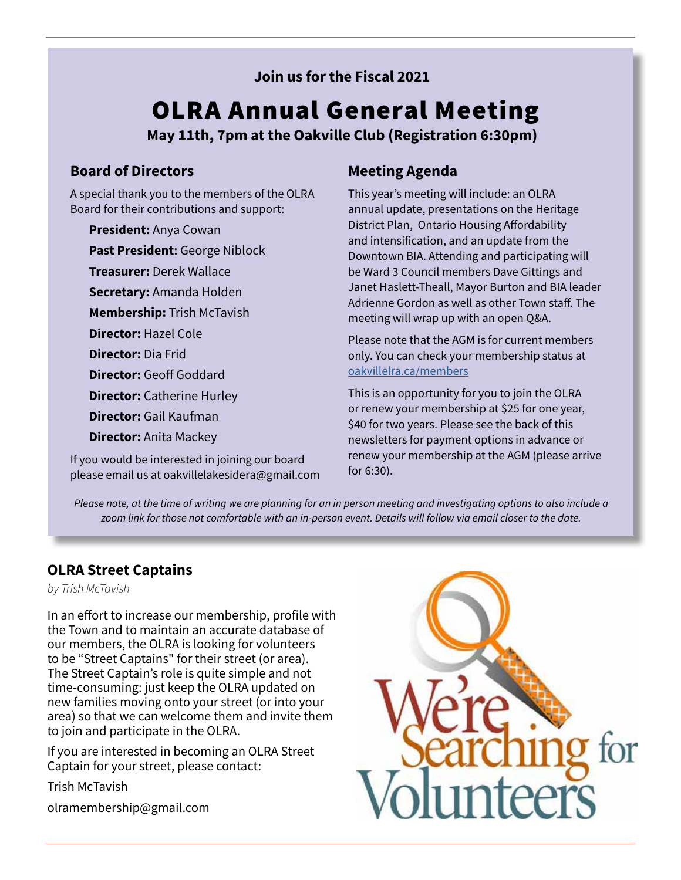### **Join us for the Fiscal 2021**

# OLRA Annual General Meeting

**May 11th, 7pm at the Oakville Club (Registration 6:30pm)**

### **Board of Directors**

A special thank you to the members of the OLRA Board for their contributions and support:

**President:** Anya Cowan

**Past President:** George Niblock

**Treasurer:** Derek Wallace

**Secretary:** Amanda Holden

**Membership:** Trish McTavish

**Director:** Hazel Cole

**Director:** Dia Frid

**Director:** Geoff Goddard

**Director:** Catherine Hurley

**Director:** Gail Kaufman

**Director:** Anita Mackey

If you would be interested in joining our board please email us at oakvillelakesidera@gmail.com

## **Meeting Agenda**

This year's meeting will include: an OLRA annual update, presentations on the Heritage District Plan, Ontario Housing Affordability and intensification, and an update from the Downtown BIA. Attending and participating will be Ward 3 Council members Dave Gittings and Janet Haslett-Theall, Mayor Burton and BIA leader Adrienne Gordon as well as other Town staff. The meeting will wrap up with an open Q&A.

Please note that the AGM is for current members only. You can check your membership status at oakvillelra.ca/members

This is an opportunity for you to join the OLRA or renew your membership at \$25 for one year, \$40 for two years. Please see the back of this newsletters for payment options in advance or renew your membership at the AGM (please arrive for 6:30).

*Please note, at the time of writing we are planning for an in person meeting and investigating options to also include a zoom link for those not comfortable with an in-person event. Details will follow via email closer to the date.* 

## **OLRA Street Captains**

*by Trish McTavish*

In an effort to increase our membership, profile with the Town and to maintain an accurate database of our members, the OLRA is looking for volunteers to be "Street Captains" for their street (or area). The Street Captain's role is quite simple and not time-consuming: just keep the OLRA updated on new families moving onto your street (or into your area) so that we can welcome them and invite them to join and participate in the OLRA.

If you are interested in becoming an OLRA Street Captain for your street, please contact:

Trish McTavish olramembership@gmail.com

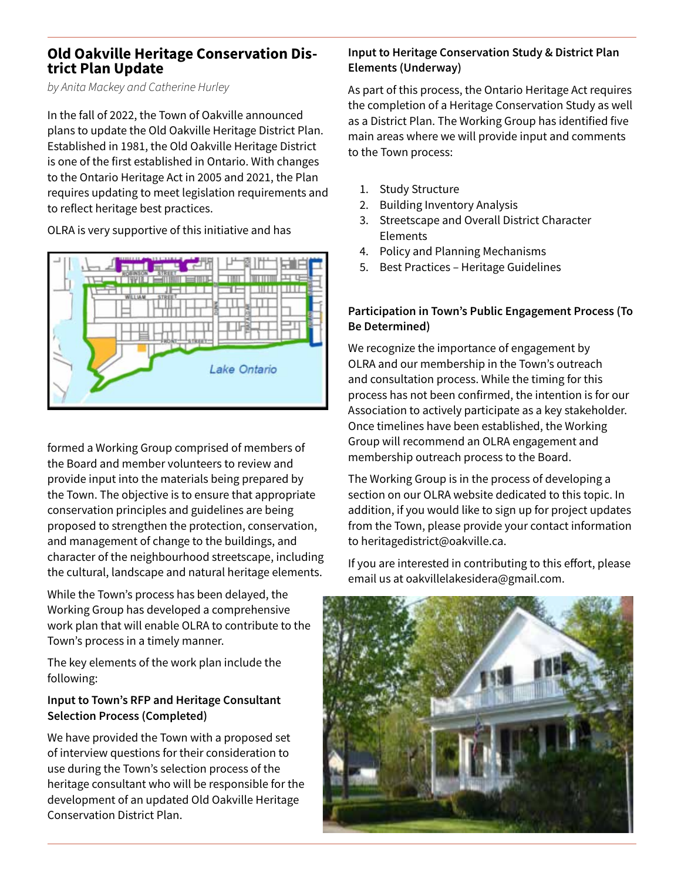# **Old Oakville Heritage Conservation Dis- trict Plan Update**

*by Anita Mackey and Catherine Hurley*

In the fall of 2022, the Town of Oakville announced plans to update the Old Oakville Heritage District Plan. Established in 1981, the Old Oakville Heritage District is one of the first established in Ontario. With changes to the Ontario Heritage Act in 2005 and 2021, the Plan requires updating to meet legislation requirements and to reflect heritage best practices.

OLRA is very supportive of this initiative and has



formed a Working Group comprised of members of the Board and member volunteers to review and provide input into the materials being prepared by the Town. The objective is to ensure that appropriate conservation principles and guidelines are being proposed to strengthen the protection, conservation, and management of change to the buildings, and character of the neighbourhood streetscape, including the cultural, landscape and natural heritage elements.

While the Town's process has been delayed, the Working Group has developed a comprehensive work plan that will enable OLRA to contribute to the Town's process in a timely manner.

The key elements of the work plan include the following:

#### **Input to Town's RFP and Heritage Consultant Selection Process (Completed)**

We have provided the Town with a proposed set of interview questions for their consideration to use during the Town's selection process of the heritage consultant who will be responsible for the development of an updated Old Oakville Heritage Conservation District Plan.

#### **Input to Heritage Conservation Study & District Plan Elements (Underway)**

As part of this process, the Ontario Heritage Act requires the completion of a Heritage Conservation Study as well as a District Plan. The Working Group has identified five main areas where we will provide input and comments to the Town process:

- 1. Study Structure
- 2. Building Inventory Analysis
- 3. Streetscape and Overall District Character Elements
- 4. Policy and Planning Mechanisms
- 5. Best Practices Heritage Guidelines

#### **Participation in Town's Public Engagement Process (To Be Determined)**

We recognize the importance of engagement by OLRA and our membership in the Town's outreach and consultation process. While the timing for this process has not been confirmed, the intention is for our Association to actively participate as a key stakeholder. Once timelines have been established, the Working Group will recommend an OLRA engagement and membership outreach process to the Board.

The Working Group is in the process of developing a section on our OLRA website dedicated to this topic. In addition, if you would like to sign up for project updates from the Town, please provide your contact information to heritagedistrict@oakville.ca.

If you are interested in contributing to this effort, please email us at oakvillelakesidera@gmail.com.

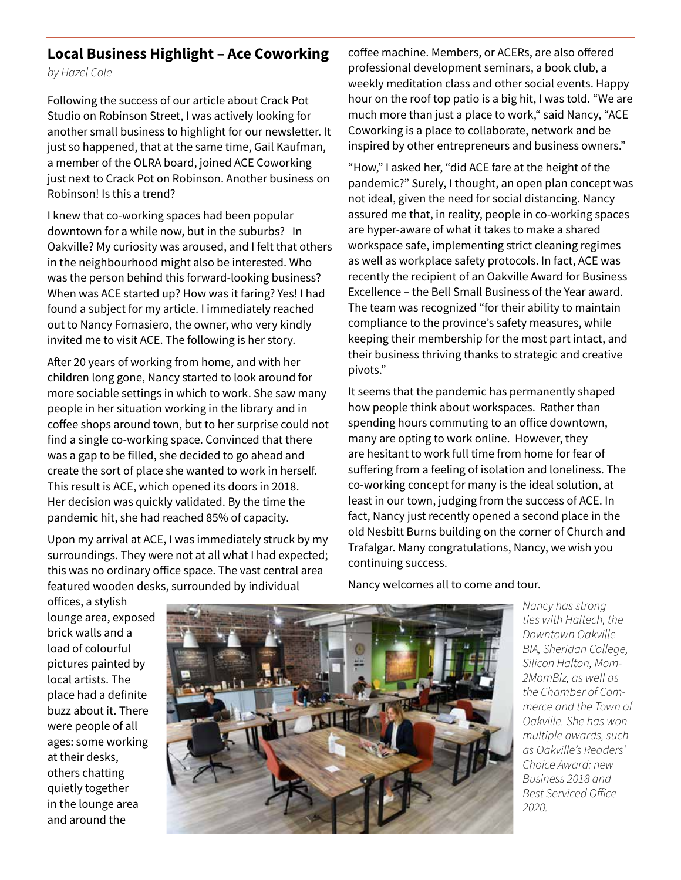#### **Local Business Highlight – Ace Coworking**

*by Hazel Cole* 

Following the success of our article about Crack Pot Studio on Robinson Street, I was actively looking for another small business to highlight for our newsletter. It just so happened, that at the same time, Gail Kaufman, a member of the OLRA board, joined ACE Coworking just next to Crack Pot on Robinson. Another business on Robinson! Is this a trend?

I knew that co-working spaces had been popular downtown for a while now, but in the suburbs? In Oakville? My curiosity was aroused, and I felt that others in the neighbourhood might also be interested. Who was the person behind this forward-looking business? When was ACE started up? How was it faring? Yes! I had found a subject for my article. I immediately reached out to Nancy Fornasiero, the owner, who very kindly invited me to visit ACE. The following is her story.

After 20 years of working from home, and with her children long gone, Nancy started to look around for more sociable settings in which to work. She saw many people in her situation working in the library and in coffee shops around town, but to her surprise could not find a single co-working space. Convinced that there was a gap to be filled, she decided to go ahead and create the sort of place she wanted to work in herself. This result is ACE, which opened its doors in 2018. Her decision was quickly validated. By the time the pandemic hit, she had reached 85% of capacity.

Upon my arrival at ACE, I was immediately struck by my surroundings. They were not at all what I had expected; this was no ordinary office space. The vast central area featured wooden desks, surrounded by individual

coffee machine. Members, or ACERs, are also offered professional development seminars, a book club, a weekly meditation class and other social events. Happy hour on the roof top patio is a big hit, I was told. "We are much more than just a place to work," said Nancy, "ACE Coworking is a place to collaborate, network and be inspired by other entrepreneurs and business owners."

"How," I asked her, "did ACE fare at the height of the pandemic?" Surely, I thought, an open plan concept was not ideal, given the need for social distancing. Nancy assured me that, in reality, people in co-working spaces are hyper-aware of what it takes to make a shared workspace safe, implementing strict cleaning regimes as well as workplace safety protocols. In fact, ACE was recently the recipient of an Oakville Award for Business Excellence – the Bell Small Business of the Year award. The team was recognized "for their ability to maintain compliance to the province's safety measures, while keeping their membership for the most part intact, and their business thriving thanks to strategic and creative pivots."

It seems that the pandemic has permanently shaped how people think about workspaces. Rather than spending hours commuting to an office downtown, many are opting to work online. However, they are hesitant to work full time from home for fear of suffering from a feeling of isolation and loneliness. The co-working concept for many is the ideal solution, at least in our town, judging from the success of ACE. In fact, Nancy just recently opened a second place in the old Nesbitt Burns building on the corner of Church and Trafalgar. Many congratulations, Nancy, we wish you continuing success.

offices, a stylish lounge area, exposed brick walls and a load of colourful pictures painted by local artists. The place had a definite buzz about it. There were people of all ages: some working at their desks, others chatting quietly together in the lounge area and around the



Nancy welcomes all to come and tour.

*Nancy has strong ties with Haltech, the Downtown Oakville BIA, Sheridan College, Silicon Halton, Mom-2MomBiz, as well as the Chamber of Commerce and the Town of Oakville. She has won multiple awards, such as Oakville's Readers' Choice Award: new Business 2018 and Best Serviced Office 2020.*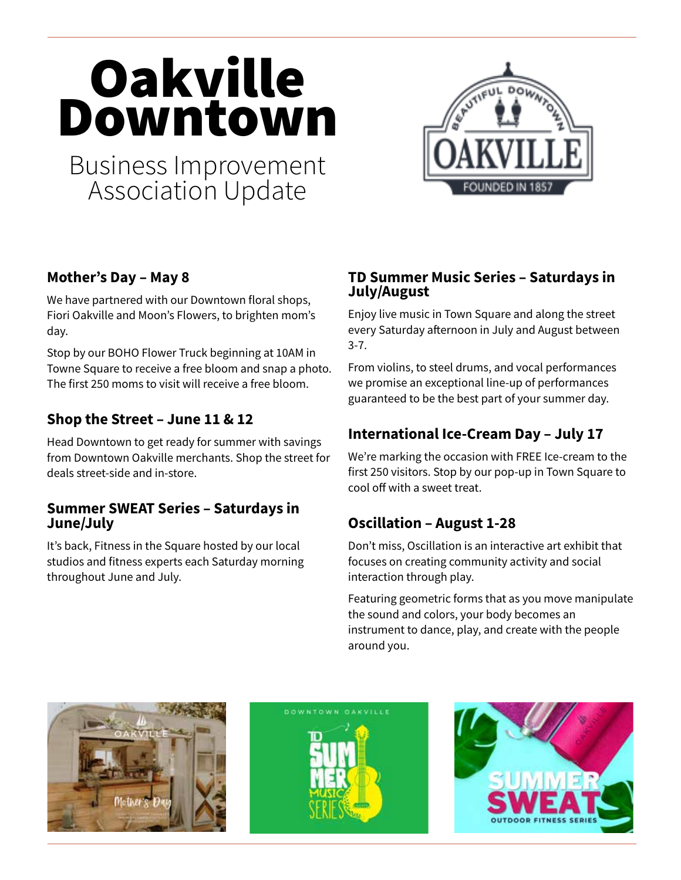# **Oakville** Downtown

Business Improvement Association Update



# **Mother's Day – May 8**

We have partnered with our Downtown floral shops, Fiori Oakville and Moon's Flowers, to brighten mom's day.

Stop by our BOHO Flower Truck beginning at 10AM in Towne Square to receive a free bloom and snap a photo. The first 250 moms to visit will receive a free bloom.

## **Shop the Street – June 11 & 12**

Head Downtown to get ready for summer with savings from Downtown Oakville merchants. Shop the street for deals street-side and in-store.

#### **Summer SWEAT Series – Saturdays in June/July**

It's back, Fitness in the Square hosted by our local studios and fitness experts each Saturday morning throughout June and July.

### **TD Summer Music Series – Saturdays in July/August**

Enjoy live music in Town Square and along the street every Saturday afternoon in July and August between 3-7.

From violins, to steel drums, and vocal performances we promise an exceptional line-up of performances guaranteed to be the best part of your summer day.

# **International Ice-Cream Day – July 17**

We're marking the occasion with FREE Ice-cream to the first 250 visitors. Stop by our pop-up in Town Square to cool off with a sweet treat.

# **Oscillation – August 1-28**

Don't miss, Oscillation is an interactive art exhibit that focuses on creating community activity and social interaction through play.

Featuring geometric forms that as you move manipulate the sound and colors, your body becomes an instrument to dance, play, and create with the people around you.





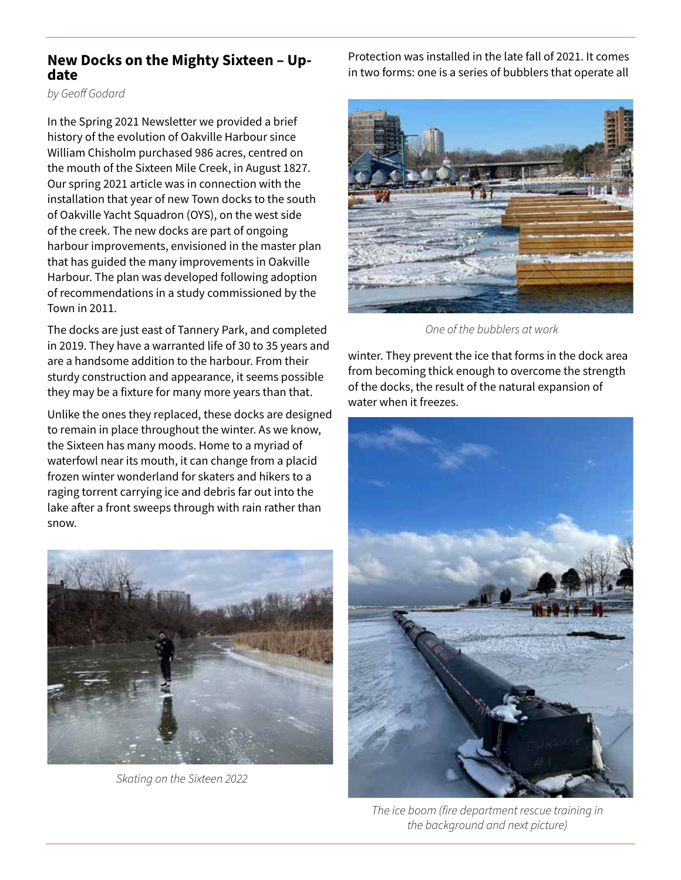# **New Docks on the Mighty Sixteen – Up- date**

*by Geoff Godard*

In the Spring 2021 Newsletter we provided a brief history of the evolution of Oakville Harbour since William Chisholm purchased 986 acres, centred on the mouth of the Sixteen Mile Creek, in August 1827. Our spring 2021 article was in connection with the installation that year of new Town docks to the south of Oakville Yacht Squadron (OYS), on the west side of the creek. The new docks are part of ongoing harbour improvements, envisioned in the master plan that has guided the many improvements in Oakville Harbour. The plan was developed following adoption of recommendations in a study commissioned by the Town in 2011.

The docks are just east of Tannery Park, and completed in 2019. They have a warranted life of 30 to 35 years and are a handsome addition to the harbour. From their sturdy construction and appearance, it seems possible they may be a fixture for many more years than that.

Unlike the ones they replaced, these docks are designed to remain in place throughout the winter. As we know, the Sixteen has many moods. Home to a myriad of waterfowl near its mouth, it can change from a placid frozen winter wonderland for skaters and hikers to a raging torrent carrying ice and debris far out into the lake after a front sweeps through with rain rather than snow.



*Skating on the Sixteen 2022*

Protection was installed in the late fall of 2021. It comes in two forms: one is a series of bubblers that operate all



*One of the bubblers at work*

winter. They prevent the ice that forms in the dock area from becoming thick enough to overcome the strength of the docks, the result of the natural expansion of water when it freezes.



*The ice boom (fire department rescue training in the background and next picture)*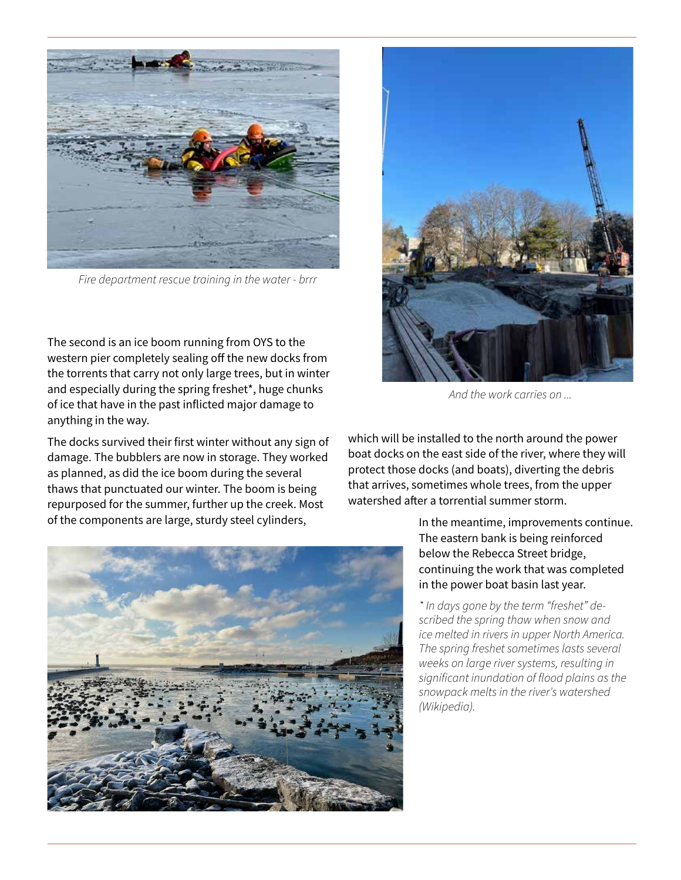

*Fire department rescue training in the water - brrr*

The second is an ice boom running from OYS to the western pier completely sealing off the new docks from the torrents that carry not only large trees, but in winter and especially during the spring freshet\*, huge chunks of ice that have in the past inflicted major damage to anything in the way.

The docks survived their first winter without any sign of damage. The bubblers are now in storage. They worked as planned, as did the ice boom during the several thaws that punctuated our winter. The boom is being repurposed for the summer, further up the creek. Most of the components are large, sturdy steel cylinders,





*And the work carries on ...*

which will be installed to the north around the power boat docks on the east side of the river, where they will protect those docks (and boats), diverting the debris that arrives, sometimes whole trees, from the upper watershed after a torrential summer storm.

> In the meantime, improvements continue. The eastern bank is being reinforced below the Rebecca Street bridge, continuing the work that was completed in the power boat basin last year.

*\* In days gone by the term "freshet" described the spring thaw when snow and ice melted in rivers in upper North America. The spring freshet sometimes lasts several weeks on large river systems, resulting in significant inundation of flood plains as the snowpack melts in the river's watershed (Wikipedia).*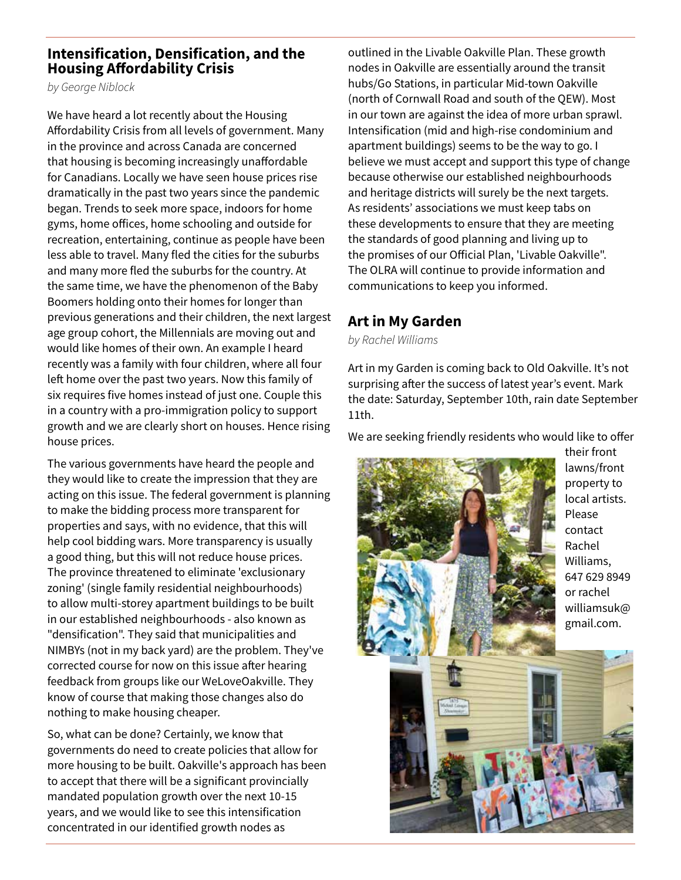#### **Intensification, Densification, and the Housing Affordability Crisis**

*by George Niblock*

We have heard a lot recently about the Housing Affordability Crisis from all levels of government. Many in the province and across Canada are concerned that housing is becoming increasingly unaffordable for Canadians. Locally we have seen house prices rise dramatically in the past two years since the pandemic began. Trends to seek more space, indoors for home gyms, home offices, home schooling and outside for recreation, entertaining, continue as people have been less able to travel. Many fled the cities for the suburbs and many more fled the suburbs for the country. At the same time, we have the phenomenon of the Baby Boomers holding onto their homes for longer than previous generations and their children, the next largest age group cohort, the Millennials are moving out and would like homes of their own. An example I heard recently was a family with four children, where all four left home over the past two years. Now this family of six requires five homes instead of just one. Couple this in a country with a pro-immigration policy to support growth and we are clearly short on houses. Hence rising house prices.

The various governments have heard the people and they would like to create the impression that they are acting on this issue. The federal government is planning to make the bidding process more transparent for properties and says, with no evidence, that this will help cool bidding wars. More transparency is usually a good thing, but this will not reduce house prices. The province threatened to eliminate 'exclusionary zoning' (single family residential neighbourhoods) to allow multi-storey apartment buildings to be built in our established neighbourhoods - also known as "densification". They said that municipalities and NIMBYs (not in my back yard) are the problem. They've corrected course for now on this issue after hearing feedback from groups like our WeLoveOakville. They know of course that making those changes also do nothing to make housing cheaper.

So, what can be done? Certainly, we know that governments do need to create policies that allow for more housing to be built. Oakville's approach has been to accept that there will be a significant provincially mandated population growth over the next 10-15 years, and we would like to see this intensification concentrated in our identified growth nodes as

outlined in the Livable Oakville Plan. These growth nodes in Oakville are essentially around the transit hubs/Go Stations, in particular Mid-town Oakville (north of Cornwall Road and south of the QEW). Most in our town are against the idea of more urban sprawl. Intensification (mid and high-rise condominium and apartment buildings) seems to be the way to go. I believe we must accept and support this type of change because otherwise our established neighbourhoods and heritage districts will surely be the next targets. As residents' associations we must keep tabs on these developments to ensure that they are meeting the standards of good planning and living up to the promises of our Official Plan, 'Livable Oakville". The OLRA will continue to provide information and communications to keep you informed.

#### **Art in My Garden**

*by Rachel Williams*

Art in my Garden is coming back to Old Oakville. It's not surprising after the success of latest year's event. Mark the date: Saturday, September 10th, rain date September 11th.

We are seeking friendly residents who would like to offer



their front lawns/front property to local artists. Williams, 647 629 8949 or rachel williamsuk@ gmail.com.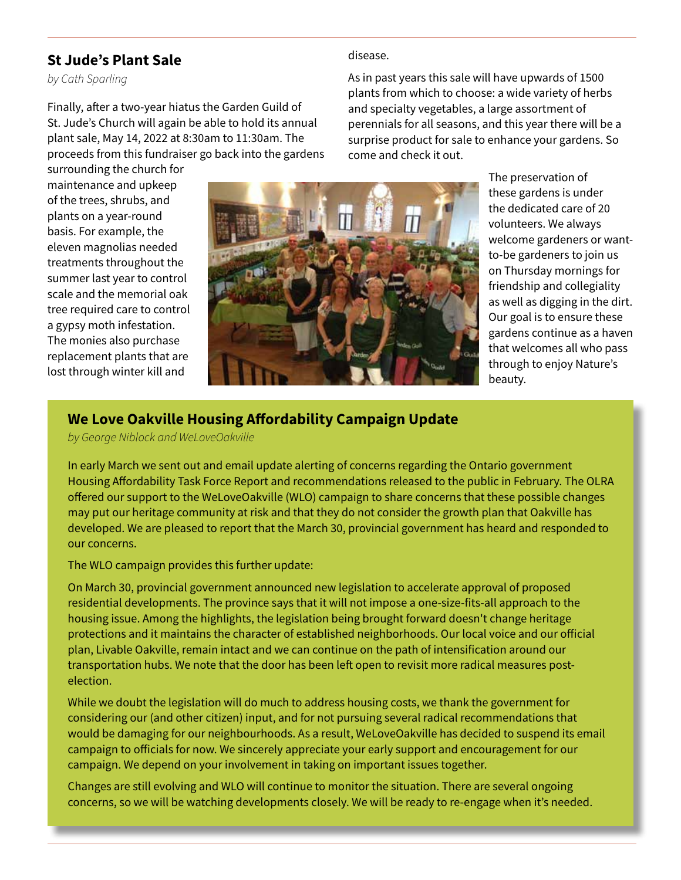#### **St Jude's Plant Sale**

*by Cath Sparling* 

Finally, after a two-year hiatus the Garden Guild of St. Jude's Church will again be able to hold its annual plant sale, May 14, 2022 at 8:30am to 11:30am. The proceeds from this fundraiser go back into the gardens As in past years this sale will have upwards of 1500 plants from which to choose: a wide variety of herbs and specialty vegetables, a large assortment of perennials for all seasons, and this year there will be a surprise product for sale to enhance your gardens. So come and check it out.

surrounding the church for maintenance and upkeep of the trees, shrubs, and plants on a year-round basis. For example, the eleven magnolias needed treatments throughout the summer last year to control scale and the memorial oak tree required care to control a gypsy moth infestation. The monies also purchase replacement plants that are lost through winter kill and



disease.

The preservation of these gardens is under the dedicated care of 20 volunteers. We always welcome gardeners or wantto-be gardeners to join us on Thursday mornings for friendship and collegiality as well as digging in the dirt. Our goal is to ensure these gardens continue as a haven that welcomes all who pass through to enjoy Nature's beauty.

## **We Love Oakville Housing Affordability Campaign Update**

*by George Niblock and WeLoveOakville*

In early March we sent out and email update alerting of concerns regarding the Ontario government Housing Affordability Task Force Report and recommendations released to the public in February. The OLRA offered our support to the WeLoveOakville (WLO) campaign to share concerns that these possible changes may put our heritage community at risk and that they do not consider the growth plan that Oakville has developed. We are pleased to report that the March 30, provincial government has heard and responded to our concerns.

The WLO campaign provides this further update:

On March 30, provincial government announced new legislation to accelerate approval of proposed residential developments. The province says that it will not impose a one-size-fits-all approach to the housing issue. Among the highlights, the legislation being brought forward doesn't change heritage protections and it maintains the character of established neighborhoods. Our local voice and our official plan, Livable Oakville, remain intact and we can continue on the path of intensification around our transportation hubs. We note that the door has been left open to revisit more radical measures postelection.

While we doubt the legislation will do much to address housing costs, we thank the government for considering our (and other citizen) input, and for not pursuing several radical recommendations that would be damaging for our neighbourhoods. As a result, WeLoveOakville has decided to suspend its email campaign to officials for now. We sincerely appreciate your early support and encouragement for our campaign. We depend on your involvement in taking on important issues together.

Changes are still evolving and WLO will continue to monitor the situation. There are several ongoing concerns, so we will be watching developments closely. We will be ready to re-engage when it's needed.